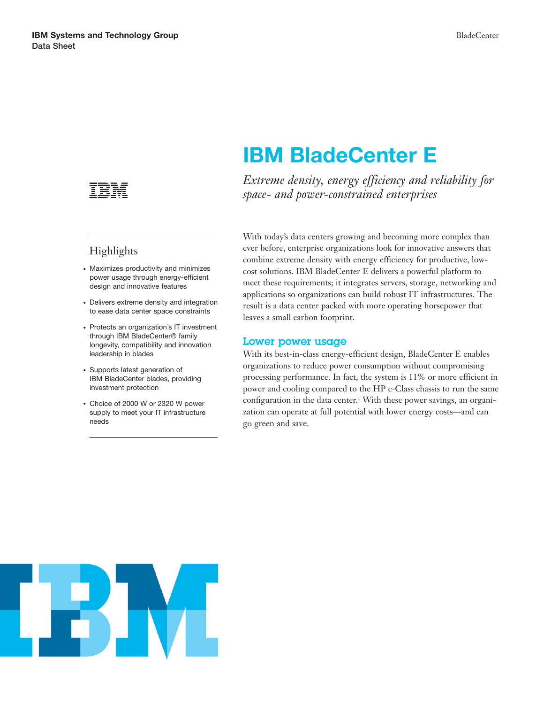

## Highlights

- Maximizes productivity and minimizes power usage through energy-efficient design and innovative features
- Delivers extreme density and integration to ease data center space constraints
- Protects an organization's IT investment through IBM BladeCenter® family longevity, compatibility and innovation leadership in blades
- Supports latest generation of IBM BladeCenter blades, providing investment protection
- Choice of 2000 W or 2320 W power supply to meet your IT infrastructure needs

# **IBM BladeCenter E**

*Extreme density, energy efficiency and reliability for space- and power-constrained enterprises*

With today's data centers growing and becoming more complex than ever before, enterprise organizations look for innovative answers that combine extreme density with energy efficiency for productive, lowcost solutions. IBM BladeCenter E delivers a powerful platform to meet these requirements; it integrates servers, storage, networking and applications so organizations can build robust IT infrastructures. The result is a data center packed with more operating horsepower that leaves a small carbon footprint.

#### **Lower power usage**

With its best-in-class energy-efficient design, BladeCenter E enables organizations to reduce power consumption without compromising processing performance. In fact, the system is 11% or more efficient in power and cooling compared to the HP c-Class chassis to run the same configuration in the data center.<sup>1</sup> With these power savings, an organization can operate at full potential with lower energy costs—and can go green and save.

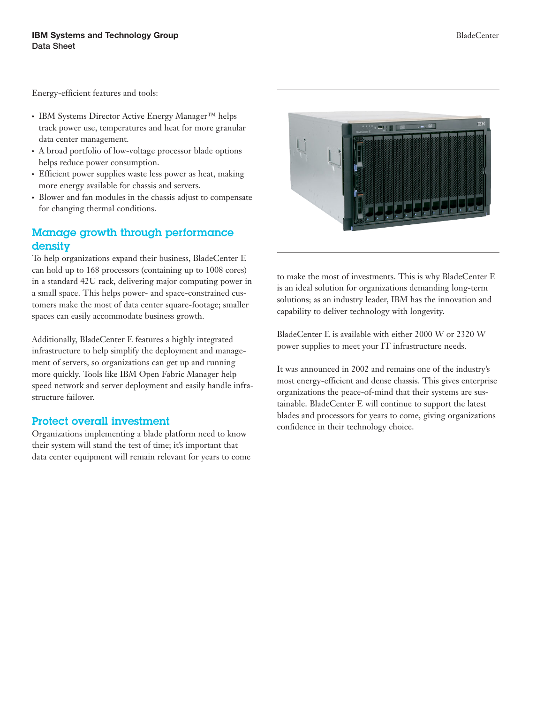Energy-efficient features and tools:

- IBM Systems Director Active Energy Manager™ helps track power use, temperatures and heat for more granular data center management.
- A broad portfolio of low-voltage processor blade options helps reduce power consumption.
- Efficient power supplies waste less power as heat, making more energy available for chassis and servers.
- Blower and fan modules in the chassis adjust to compensate for changing thermal conditions.

#### **Manage growth through performance density**

To help organizations expand their business, BladeCenter E can hold up to 168 processors (containing up to 1008 cores) in a standard 42U rack, delivering major computing power in a small space. This helps power- and space-constrained customers make the most of data center square-footage; smaller spaces can easily accommodate business growth.

Additionally, BladeCenter E features a highly integrated infrastructure to help simplify the deployment and management of servers, so organizations can get up and running more quickly. Tools like IBM Open Fabric Manager help speed network and server deployment and easily handle infrastructure failover.

#### **Protect overall investment**

Organizations implementing a blade platform need to know their system will stand the test of time; it's important that data center equipment will remain relevant for years to come



to make the most of investments. This is why BladeCenter E is an ideal solution for organizations demanding long-term solutions; as an industry leader, IBM has the innovation and capability to deliver technology with longevity.

BladeCenter E is available with either 2000 W or 2320 W power supplies to meet your IT infrastructure needs.

It was announced in 2002 and remains one of the industry's most energy-efficient and dense chassis. This gives enterprise organizations the peace-of-mind that their systems are sustainable. BladeCenter E will continue to support the latest blades and processors for years to come, giving organizations confidence in their technology choice.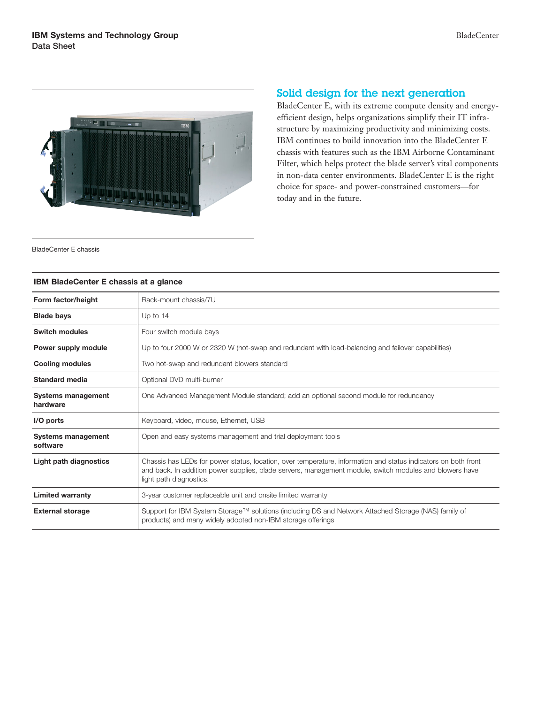

### **Solid design for the next generation**

BladeCenter E, with its extreme compute density and energyefficient design, helps organizations simplify their IT infrastructure by maximizing productivity and minimizing costs. IBM continues to build innovation into the BladeCenter E chassis with features such as the IBM Airborne Contaminant Filter, which helps protect the blade server's vital components in non-data center environments. BladeCenter E is the right choice for space- and power-constrained customers—for today and in the future.

BladeCenter E chassis

#### **IBM BladeCenter E chassis at a glance**

| Form factor/height                    | Rack-mount chassis/7U                                                                                                                                                                                                                                |
|---------------------------------------|------------------------------------------------------------------------------------------------------------------------------------------------------------------------------------------------------------------------------------------------------|
| <b>Blade bays</b>                     | Up to $14$                                                                                                                                                                                                                                           |
| <b>Switch modules</b>                 | Four switch module bays                                                                                                                                                                                                                              |
| Power supply module                   | Up to four 2000 W or 2320 W (hot-swap and redundant with load-balancing and failover capabilities)                                                                                                                                                   |
| <b>Cooling modules</b>                | Two hot-swap and redundant blowers standard                                                                                                                                                                                                          |
| Standard media                        | Optional DVD multi-burner                                                                                                                                                                                                                            |
| <b>Systems management</b><br>hardware | One Advanced Management Module standard; add an optional second module for redundancy                                                                                                                                                                |
| I/O ports                             | Keyboard, video, mouse, Ethernet, USB                                                                                                                                                                                                                |
| <b>Systems management</b><br>software | Open and easy systems management and trial deployment tools                                                                                                                                                                                          |
| Light path diagnostics                | Chassis has LEDs for power status, location, over temperature, information and status indicators on both front<br>and back. In addition power supplies, blade servers, management module, switch modules and blowers have<br>light path diagnostics. |
| <b>Limited warranty</b>               | 3-year customer replaceable unit and onsite limited warranty                                                                                                                                                                                         |
| <b>External storage</b>               | Support for IBM System Storage™ solutions (including DS and Network Attached Storage (NAS) family of<br>products) and many widely adopted non-IBM storage offerings                                                                                  |